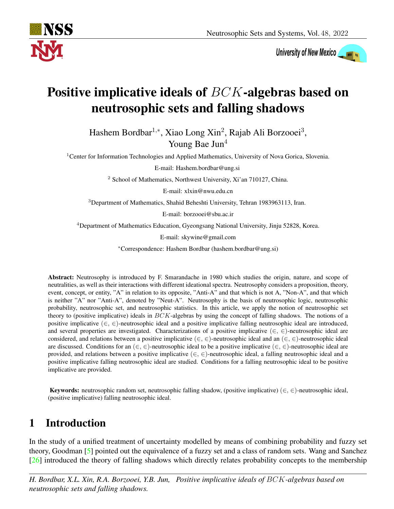

University of New Mexico

# Positive implicative ideals of BCK-algebras based on neutrosophic sets and falling shadows

Hashem Bordbar<sup>1,∗</sup>, Xiao Long Xin<sup>2</sup>, Rajab Ali Borzooei<sup>3</sup>, Young Bae Jun<sup>4</sup>

<sup>1</sup>Center for Information Technologies and Applied Mathematics, University of Nova Gorica, Slovenia.

E-mail: Hashem.bordbar@ung.si

<sup>2</sup> School of Mathematics, Northwest University, Xi'an 710127, China.

E-mail: xlxin@nwu.edu.cn

<sup>3</sup>Department of Mathematics, Shahid Beheshti University, Tehran 1983963113, Iran.

E-mail: borzooei@sbu.ac.ir

<sup>4</sup>Department of Mathematics Education, Gyeongsang National University, Jinju 52828, Korea.

E-mail: skywine@gmail.com

<sup>∗</sup>Correspondence: Hashem Bordbar (hashem.bordbar@ung.si)

Abstract: Neutrosophy is introduced by F. Smarandache in 1980 which studies the origin, nature, and scope of neutralities, as well as their interactions with different ideational spectra. Neutrosophy considers a proposition, theory, event, concept, or entity, "A" in relation to its opposite, "Anti-A" and that which is not A, "Non-A", and that which is neither "A" nor "Anti-A", denoted by "Neut-A". Neutrosophy is the basis of neutrosophic logic, neutrosophic probability, neutrosophic set, and neutrosophic statistics. In this article, we apply the notion of neutrosophic set theory to (positive implicative) ideals in  $BCK$ -algebras by using the concept of falling shadows. The notions of a positive implicative ( $\in$ ,  $\in$ )-neutrosophic ideal and a positive implicative falling neutrosophic ideal are introduced, and several properties are investigated. Characterizations of a positive implicative  $(\in, \in)$ -neutrosophic ideal are considered, and relations between a positive implicative ( $\in, \in$ )-neutrosophic ideal and an ( $\in, \in$ )-neutrosophic ideal are discussed. Conditions for an  $(\in, \in)$ -neutrosophic ideal to be a positive implicative  $(\in, \in)$ -neutrosophic ideal are provided, and relations between a positive implicative  $(\in, \in)$ -neutrosophic ideal, a falling neutrosophic ideal and a positive implicative falling neutrosophic ideal are studied. Conditions for a falling neutrosophic ideal to be positive implicative are provided.

**Keywords:** neutrosophic random set, neutrosophic falling shadow, (positive implicative) (∈, ∈)-neutrosophic ideal, (positive implicative) falling neutrosophic ideal.

# 1 Introduction

In the study of a unified treatment of uncertainty modelled by means of combining probability and fuzzy set theory, Goodman [\[5\]](#page-20-0) pointed out the equivalence of a fuzzy set and a class of random sets. Wang and Sanchez [\[26\]](#page-21-0) introduced the theory of falling shadows which directly relates probability concepts to the membership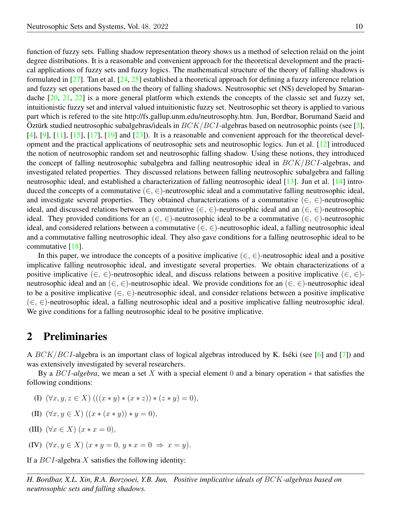$\ddot{\text{O}}$ ztürk studied neutrosophic subalgebras/ideals in  $BCK/BCI$ -algebras based on neutrosophic points (see [\[3\]](#page-20-4), function of fuzzy sets. Falling shadow representation theory shows us a method of selection relaid on the joint degree distributions. It is a reasonable and convenient approach for the theoretical development and the practical applications of fuzzy sets and fuzzy logics. The mathematical structure of the theory of falling shadows is formulated in [\[27\]](#page-21-1). Tan et al. [\[24,](#page-21-2) [25\]](#page-21-3) established a theoretical approach for defining a fuzzy inference relation and fuzzy set operations based on the theory of falling shadows. Neutrosophic set (NS) developed by Smarandache [\[20,](#page-20-1) [21,](#page-20-2) [22\]](#page-20-3) is a more general platform which extends the concepts of the classic set and fuzzy set, intuitionistic fuzzy set and interval valued intuitionistic fuzzy set. Neutrosophic set theory is applied to various part which is refered to the site http://fs.gallup.unm.edu/neutrosophy.htm. Jun, Bordbar, Borumand Saeid and [\[4\]](#page-20-5), [\[9\]](#page-20-6), [\[11\]](#page-20-7), [\[15\]](#page-20-8), [\[17\]](#page-20-9), [\[19\]](#page-20-10) and [\[23\]](#page-21-4)). It is a reasonable and convenient approach for the theoretical development and the practical applications of neutrosophic sets and neutrosophic logics. Jun et al. [\[12\]](#page-20-11) introduced the notion of neutrosophic random set and neutrosophic falling shadow. Using these notions, they introduced the concept of falling neutrosophic subalgebra and falling neutrosophic ideal in  $BCK/BCI$ -algebras, and investigated related properties. They discussed relations between falling neutrosophic subalgebra and falling neutrosophic ideal, and established a characterization of falling neutrosophic ideal [\[13\]](#page-20-12). Jun et al. [\[14\]](#page-20-13) introduced the concepts of a commutative  $(\in, \in)$ -neutrosophic ideal and a commutative falling neutrosophic ideal, and investigate several properties. They obtained characterizations of a commutative  $(\in, \in)$ -neutrosophic ideal, and discussed relations between a commutative ( $\in, \in$ )-neutrosophic ideal and an ( $\in, \in$ )-neutrosophic ideal. They provided conditions for an  $(\in, \in)$ -neutrosophic ideal to be a commutative  $(\in, \in)$ -neutrosophic ideal, and considered relations between a commutative  $(\in, \in)$ -neutrosophic ideal, a falling neutrosophic ideal and a commutative falling neutrosophic ideal. They also gave conditions for a falling neutrosophic ideal to be commutative [\[18\]](#page-20-14).

In this paper, we introduce the concepts of a positive implicative  $(\in, \in)$ -neutrosophic ideal and a positive implicative falling neutrosophic ideal, and investigate several properties. We obtain characterizations of a positive implicative ( $\in, \in$ )-neutrosophic ideal, and discuss relations between a positive implicative ( $\in, \in$ )neutrosophic ideal and an  $(\in, \in)$ -neutrosophic ideal. We provide conditions for an  $(\in, \in)$ -neutrosophic ideal to be a positive implicative  $(\in, \in)$ -neutrosophic ideal, and consider relations between a positive implicative (∈, ∈)-neutrosophic ideal, a falling neutrosophic ideal and a positive implicative falling neutrosophic ideal. We give conditions for a falling neutrosophic ideal to be positive implicative.

#### 2 Preliminaries

A  $BCK/BCI$ -algebra is an important class of logical algebras introduced by K. Iséki (see [\[6\]](#page-20-15) and [\[7\]](#page-20-16)) and was extensively investigated by several researchers.

By a BCI*-algebra*, we mean a set X with a special element 0 and a binary operation ∗ that satisfies the following conditions:

(I)  $(\forall x, y, z \in X)$   $(((x * y) * (x * z)) * (z * y) = 0),$ 

(II) 
$$
(\forall x, y \in X) ((x * (x * y)) * y = 0),
$$

- (III)  $(\forall x \in X) (x * x = 0),$
- (IV)  $(\forall x, y \in X)$   $(x * y = 0, y * x = 0 \Rightarrow x = y)$ .

If a  $BCI$ -algebra X satisfies the following identity: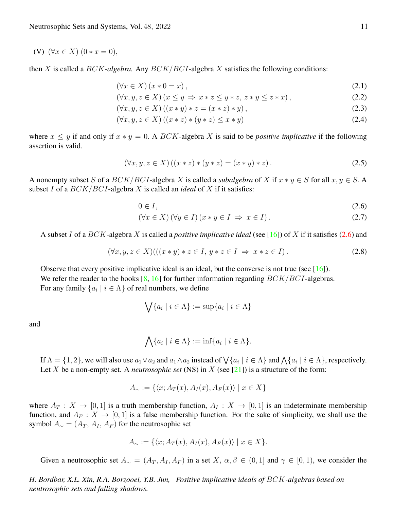(V)  $(\forall x \in X) (0 * x = 0),$ 

then X is called a BCK*-algebra.* Any BCK/BCI-algebra X satisfies the following conditions:

<span id="page-2-1"></span>
$$
(\forall x \in X) (x * 0 = x), \tag{2.1}
$$

$$
(\forall x, y, z \in X) (x \le y \Rightarrow x * z \le y * z, z * y \le z * x), \tag{2.2}
$$

$$
(\forall x, y, z \in X) ((x * y) * z = (x * z) * y),
$$
\n(2.3)

$$
(\forall x, y, z \in X) ((x * z) * (y * z) \le x * y)
$$
\n
$$
(2.4)
$$

where  $x \leq y$  if and only if  $x * y = 0$ . A BCK-algebra X is said to be *positive implicative* if the following assertion is valid.

$$
(\forall x, y, z \in X) ((x * z) * (y * z) = (x * y) * z).
$$
\n(2.5)

A nonempty subset S of a  $BCK/BCI$ -algebra X is called a *subalgebra* of X if  $x * y \in S$  for all  $x, y \in S$ . A subset I of a BCK/BCI-algebra X is called an *ideal* of X if it satisfies:

<span id="page-2-0"></span>
$$
0 \in I,\tag{2.6}
$$

<span id="page-2-2"></span>
$$
(\forall x \in X) (\forall y \in I) (x * y \in I \Rightarrow x \in I).
$$
\n
$$
(2.7)
$$

A subset I of a BCK-algebra X is called a *positive implicative ideal* (see [\[16\]](#page-20-17)) of X if it satisfies [\(2.6\)](#page-2-0) and

$$
(\forall x, y, z \in X) (((x * y) * z \in I, y * z \in I \Rightarrow x * z \in I).
$$
\n
$$
(2.8)
$$

Observe that every positive implicative ideal is an ideal, but the converse is not true (see [\[16\]](#page-20-17)). We refer the reader to the books  $[8, 16]$  $[8, 16]$  $[8, 16]$  for further information regarding  $BCK/BCI$ -algebras. For any family  $\{a_i \mid i \in \Lambda\}$  of real numbers, we define

$$
\bigvee \{a_i \mid i \in \Lambda\} := \sup \{a_i \mid i \in \Lambda\}
$$

and

$$
\bigwedge \{a_i \mid i \in \Lambda\} := \inf \{a_i \mid i \in \Lambda\}.
$$

If  $\Lambda = \{1, 2\}$ , we will also use  $a_1 \vee a_2$  and  $a_1 \wedge a_2$  instead of  $\bigvee \{a_i \mid i \in \Lambda\}$  and  $\bigwedge \{a_i \mid i \in \Lambda\}$ , respectively. Let X be a non-empty set. A *neutrosophic set* (NS) in X (see [\[21\]](#page-20-2)) is a structure of the form:

$$
A_{\sim} := \{ \langle x; A_T(x), A_I(x), A_F(x) \rangle \mid x \in X \}
$$

where  $A_T : X \to [0,1]$  is a truth membership function,  $A_I : X \to [0,1]$  is an indeterminate membership function, and  $A_F : X \to [0, 1]$  is a false membership function. For the sake of simplicity, we shall use the symbol  $A_{\sim} = (A_T, A_I, A_F)$  for the neutrosophic set

$$
A_{\sim} := \{ \langle x; A_T(x), A_I(x), A_F(x) \rangle \mid x \in X \}.
$$

Given a neutrosophic set  $A_{\sim} = (A_T, A_I, A_F)$  in a set  $X, \alpha, \beta \in (0, 1]$  and  $\gamma \in [0, 1)$ , we consider the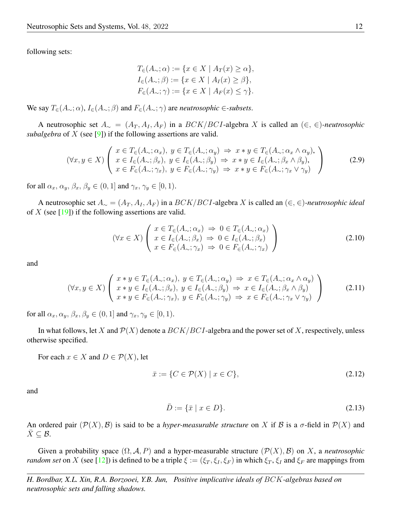following sets:

$$
T_{\in}(A_{\sim}; \alpha) := \{x \in X \mid A_T(x) \ge \alpha\},
$$
  
\n
$$
I_{\in}(A_{\sim}; \beta) := \{x \in X \mid A_I(x) \ge \beta\},
$$
  
\n
$$
F_{\in}(A_{\sim}; \gamma) := \{x \in X \mid A_F(x) \le \gamma\}.
$$

We say  $T_{\in}(A_{\sim}; \alpha)$ ,  $I_{\in}(A_{\sim}; \beta)$  and  $F_{\in}(A_{\sim}; \gamma)$  are *neutrosophic*  $\in$ *-subsets.* 

A neutrosophic set  $A_∼ = (A_T, A_I, A_F)$  in a  $BCK/BCI$ -algebra X is called an  $(∈, ∈)$ -neutrosophic *subalgebra* of X (see [\[9\]](#page-20-6)) if the following assertions are valid.

$$
(\forall x, y \in X) \left( \begin{array}{l} x \in T_{\in}(A_{\sim}; \alpha_{x}), \ y \in T_{\in}(A_{\sim}; \alpha_{y}) \Rightarrow x * y \in T_{\in}(A_{\sim}; \alpha_{x} \wedge \alpha_{y}), \\ x \in I_{\in}(A_{\sim}; \beta_{x}), \ y \in I_{\in}(A_{\sim}; \beta_{y}) \Rightarrow x * y \in I_{\in}(A_{\sim}; \beta_{x} \wedge \beta_{y}), \\ x \in F_{\in}(A_{\sim}; \gamma_{x}), \ y \in F_{\in}(A_{\sim}; \gamma_{y}) \Rightarrow x * y \in F_{\in}(A_{\sim}; \gamma_{x} \vee \gamma_{y}) \end{array} \right)
$$
(2.9)

for all  $\alpha_x, \alpha_y, \beta_x, \beta_y \in (0, 1]$  and  $\gamma_x, \gamma_y \in [0, 1)$ .

A neutrosophic set  $A_∼ = (A_T, A_I, A_F)$  in a  $BCK/BCI$ -algebra X is called an  $(∈, ∈)$ -neutrosophic *ideal* of  $X$  (see [\[19\]](#page-20-10)) if the following assertions are valid.

<span id="page-3-0"></span>
$$
(\forall x \in X) \left( \begin{array}{l} x \in T_{\in}(A_{\sim}; \alpha_{x}) \implies 0 \in T_{\in}(A_{\sim}; \alpha_{x}) \\ x \in I_{\in}(A_{\sim}; \beta_{x}) \implies 0 \in I_{\in}(A_{\sim}; \beta_{x}) \\ x \in F_{\in}(A_{\sim}; \gamma_{x}) \implies 0 \in F_{\in}(A_{\sim}; \gamma_{x}) \end{array} \right)
$$
(2.10)

and

$$
(\forall x, y \in X) \left( \begin{array}{c} x * y \in T_{\in}(A_{\sim}; \alpha_x), \ y \in T_{\in}(A_{\sim}; \alpha_y) \Rightarrow x \in T_{\in}(A_{\sim}; \alpha_x \wedge \alpha_y) \\ x * y \in I_{\in}(A_{\sim}; \beta_x), \ y \in I_{\in}(A_{\sim}; \beta_y) \Rightarrow x \in I_{\in}(A_{\sim}; \beta_x \wedge \beta_y) \\ x * y \in F_{\in}(A_{\sim}; \gamma_x), \ y \in F_{\in}(A_{\sim}; \gamma_y) \Rightarrow x \in F_{\in}(A_{\sim}; \gamma_x \vee \gamma_y) \end{array} \right)
$$
(2.11)

for all  $\alpha_x, \alpha_y, \beta_x, \beta_y \in (0, 1]$  and  $\gamma_x, \gamma_y \in [0, 1)$ .

In what follows, let X and  $\mathcal{P}(X)$  denote a  $BCK/BCI$ -algebra and the power set of X, respectively, unless otherwise specified.

For each  $x \in X$  and  $D \in \mathcal{P}(X)$ , let

$$
\bar{x} := \{ C \in \mathcal{P}(X) \mid x \in C \},\tag{2.12}
$$

and

$$
\bar{D} := \{\bar{x} \mid x \in D\}.\tag{2.13}
$$

An ordered pair  $(\mathcal{P}(X), \mathcal{B})$  is said to be a *hyper-measurable structure* on X if B is a  $\sigma$ -field in  $\mathcal{P}(X)$  and  $X \subseteq \mathcal{B}$ .

Given a probability space  $(\Omega, \mathcal{A}, P)$  and a hyper-measurable structure  $(\mathcal{P}(X), \mathcal{B})$  on X, a *neutrosophic random set* on X (see [\[12\]](#page-20-11)) is defined to be a triple  $\xi := (\xi_T, \xi_I, \xi_F)$  in which  $\xi_T, \xi_I$  and  $\xi_F$  are mappings from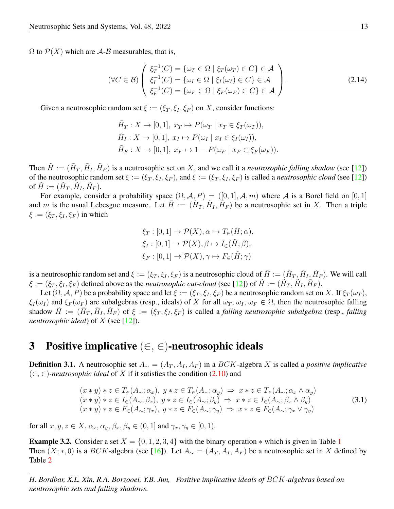$\Omega$  to  $\mathcal{P}(X)$  which are A-B measurables, that is,

$$
(\forall C \in \mathcal{B}) \left( \begin{array}{l} \xi_T^{-1}(C) = \{ \omega_T \in \Omega \mid \xi_T(\omega_T) \in C \} \in \mathcal{A} \\ \xi_I^{-1}(C) = \{ \omega_I \in \Omega \mid \xi_I(\omega_I) \in C \} \in \mathcal{A} \\ \xi_F^{-1}(C) = \{ \omega_F \in \Omega \mid \xi_F(\omega_F) \in C \} \in \mathcal{A} \end{array} \right). \tag{2.14}
$$

Given a neutrosophic random set  $\xi := (\xi_T, \xi_I, \xi_F)$  on X, consider functions:

$$
\tilde{H}_T: X \to [0, 1], \ x_T \mapsto P(\omega_T \mid x_T \in \xi_T(\omega_T)),
$$
  
\n
$$
\tilde{H}_I: X \to [0, 1], \ x_I \mapsto P(\omega_I \mid x_I \in \xi_I(\omega_I)),
$$
  
\n
$$
\tilde{H}_F: X \to [0, 1], \ x_F \mapsto 1 - P(\omega_F \mid x_F \in \xi_F(\omega_F)).
$$

Then  $\tilde{H} := (\tilde{H}_T, \tilde{H}_I, \tilde{H}_F)$  is a neutrosophic set on X, and we call it a *neutrosophic falling shadow* (see [\[12\]](#page-20-11)) of  $\tilde{H} := (\tilde{H}_T, \tilde{H}_I, \tilde{H}_F).$ of the neutrosophic random set  $\xi := (\xi_T, \xi_I, \xi_F)$ , and  $\xi := (\xi_T, \xi_I, \xi_F)$  is called a *neutrosophic cloud* (see [\[12\]](#page-20-11))

and m is the usual Lebesgue measure. Let  $\tilde{H} := (\tilde{H}_T, \tilde{H}_I, \tilde{H}_F)$  be a neutrosophic set in X. Then a triple For example, consider a probability space  $(\Omega, \mathcal{A}, P) = ([0, 1], \mathcal{A}, m)$  where  $\mathcal{A}$  is a Borel field on  $[0, 1]$  $\xi := (\xi_T, \xi_I, \xi_F)$  in which

<span id="page-4-0"></span>
$$
\xi_T : [0,1] \to \mathcal{P}(X), \alpha \mapsto T_{\in}(\tilde{H}; \alpha),
$$
  
\n
$$
\xi_I : [0,1] \to \mathcal{P}(X), \beta \mapsto I_{\in}(\tilde{H}; \beta),
$$
  
\n
$$
\xi_F : [0,1] \to \mathcal{P}(X), \gamma \mapsto F_{\in}(\tilde{H}; \gamma)
$$

is a neutrosophic random set and  $\xi := (\xi_T, \xi_I, \xi_F)$  is a neutrosophic cloud of  $\tilde{H} := (\tilde{H}_T, \tilde{H}_I, \tilde{H}_F)$ . We will call  $\xi := (\xi_T, \xi_I, \xi_F)$  defined above as the *neutrosophic cut-cloud* (see [\[12\]](#page-20-11)) of  $\tilde{H} := (\tilde{H}_T, \tilde{H}_I, \tilde{H}_F)$ .

shadow  $\tilde{H} := (\tilde{H}_T, \tilde{H}_I, \tilde{H}_F)$  of  $\xi := (\xi_T, \xi_I, \xi_F)$  is called a *falling neutrosophic subalgebra* (resp., *falling* Let  $(\Omega, \mathcal{A}, P)$  be a probability space and let  $\xi := (\xi_T, \xi_I, \xi_F)$  be a neutrosophic random set on X. If  $\xi_T(\omega_T)$ ,  $\xi_I(\omega_I)$  and  $\xi_F(\omega_F)$  are subalgebras (resp., ideals) of X for all  $\omega_T$ ,  $\omega_I$ ,  $\omega_F \in \Omega$ , then the neutrosophic falling *neutrosophic ideal*) of X (see [\[12\]](#page-20-11)).

#### 3 Positive implicative  $(\in, \in)$ -neutrosophic ideals

**Definition 3.1.** A neutrosophic set  $A_ ∼ = (A_T, A_I, A_F)$  in a  $BCK$ -algebra X is called a *positive implicative* (∈, ∈)*-neutrosophic ideal* of X if it satisfies the condition [\(2.10\)](#page-3-0) and

$$
(x * y) * z \in T_{\epsilon}(A_{\sim}; \alpha_x), y * z \in T_{\epsilon}(A_{\sim}; \alpha_y) \Rightarrow x * z \in T_{\epsilon}(A_{\sim}; \alpha_x \wedge \alpha_y)
$$
  
\n
$$
(x * y) * z \in I_{\epsilon}(A_{\sim}; \beta_x), y * z \in I_{\epsilon}(A_{\sim}; \beta_y) \Rightarrow x * z \in I_{\epsilon}(A_{\sim}; \beta_x \wedge \beta_y)
$$
  
\n
$$
(x * y) * z \in F_{\epsilon}(A_{\sim}; \gamma_x), y * z \in F_{\epsilon}(A_{\sim}; \gamma_y) \Rightarrow x * z \in F_{\epsilon}(A_{\sim}; \gamma_x \vee \gamma_y)
$$
  
\n(3.1)

for all  $x, y, z \in X$ ,  $\alpha_x, \alpha_y, \beta_x, \beta_y \in (0, 1]$  and  $\gamma_x, \gamma_y \in [0, 1)$ .

**Example 3.2.** Consider a set  $X = \{0, 1, 2, 3, 4\}$  $X = \{0, 1, 2, 3, 4\}$  $X = \{0, 1, 2, 3, 4\}$  with the binary operation  $*$  which is given in Table 1 Then  $(X; *, 0)$  is a BCK-algebra (see [\[16\]](#page-20-17)). Let  $A_{\sim} = (A_T, A_I, A_F)$  be a neutrosophic set in X defined by Table [2](#page-5-1)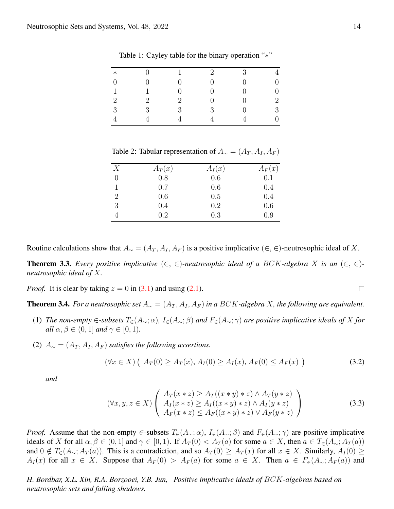| $\ast$         |                             |                             | $\mathcal{D}$ | 3 |                |
|----------------|-----------------------------|-----------------------------|---------------|---|----------------|
| $\overline{0}$ |                             |                             |               |   | $\theta$       |
|                |                             |                             |               |   | $\overline{0}$ |
| $\overline{2}$ | $\mathcal{D}_{\mathcal{L}}$ | $\mathcal{D}_{\mathcal{L}}$ | 0             |   | $\sqrt{2}$     |
| 3              | $\mathbf{Q}$                | $\mathcal{R}$               | $\mathcal{R}$ |   | 3              |
|                |                             |                             |               |   | $\overline{0}$ |

<span id="page-5-0"></span>Table 1: Cayley table for the binary operation "∗"

<span id="page-5-1"></span>Table 2: Tabular representation of  $A_{\sim} = (A_T, A_I, A_F)$ 

| Х              | $A_T(x)$ | $A_I(x)$ | $A_F(x)$ |
|----------------|----------|----------|----------|
| $\overline{0}$ | 0.8      | 0.6      | 0.1      |
|                | 0.7      | 0.6      | 0.4      |
| $\overline{2}$ | 0.6      | 0.5      | 0.4      |
| 3              | 0.4      | 0.2      | 0.6      |
|                | 0.2      | 0.3      | 0.9      |

Routine calculations show that  $A_ \sim = (A_T, A_I, A_F)$  is a positive implicative (∈, ∈)-neutrosophic ideal of X.

<span id="page-5-4"></span>**Theorem 3.3.** Every positive implicative  $(\in, \in)$ -neutrosophic ideal of a BCK-algebra X is an  $(\in, \in)$ *neutrosophic ideal of* X*.*

*Proof.* It is clear by taking  $z = 0$  in [\(3.1\)](#page-4-0) and using [\(2.1\)](#page-2-1).

<span id="page-5-5"></span>**Theorem 3.4.** For a neutrosophic set  $A_{\sim} = (A_T, A_I, A_F)$  in a BCK-algebra X, the following are equivalent.

- (1) *The non-empty* ∈*-subsets* T∈(A∼; α)*,* I∈(A∼; β) *and* F∈(A∼; γ) *are positive implicative ideals of* X *for all*  $\alpha, \beta \in (0, 1]$  *and*  $\gamma \in [0, 1)$ *.*
- (2)  $A_{\sim} = (A_T, A_I, A_F)$  *satisfies the following assertions.*

$$
(\forall x \in X) \left( A_T(0) \ge A_T(x), A_I(0) \ge A_I(x), A_F(0) \le A_F(x) \right) \tag{3.2}
$$

*and*

$$
(\forall x, y, z \in X) \left( \begin{array}{c} A_T(x \ast z) \ge A_T((x \ast y) \ast z) \land A_T(y \ast z) \\ A_I(x \ast z) \ge A_I((x \ast y) \ast z) \land A_I(y \ast z) \\ A_F(x \ast z) \le A_F((x \ast y) \ast z) \lor A_F(y \ast z) \end{array} \right)
$$
(3.3)

*Proof.* Assume that the non-empty ∈-subsets  $T_{\epsilon}(A_{\sim}; \alpha)$ ,  $I_{\epsilon}(A_{\sim}; \beta)$  and  $F_{\epsilon}(A_{\sim}; \gamma)$  are positive implicative ideals of X for all  $\alpha, \beta \in (0, 1]$  and  $\gamma \in [0, 1)$ . If  $A_T(0) < A_T(a)$  for some  $a \in X$ , then  $a \in T_{\epsilon}(A_{\sim}; A_T(a))$ and  $0 \notin T_{\epsilon}(A_{\sim}; A_T(a))$ . This is a contradiction, and so  $A_T(0) \geq A_T(x)$  for all  $x \in X$ . Similarly,  $A_T(0) \geq$  $A_I(x)$  for all  $x \in X$ . Suppose that  $A_F(0) > A_F(a)$  for some  $a \in X$ . Then  $a \in F_{\epsilon}(A_{\sim}; A_F(a))$  and

*H. Bordbar, X.L. Xin, R.A. Borzooei, Y.B. Jun, Positive implicative ideals of* BCK*-algebras based on neutrosophic sets and falling shadows.*

<span id="page-5-3"></span><span id="page-5-2"></span> $\Box$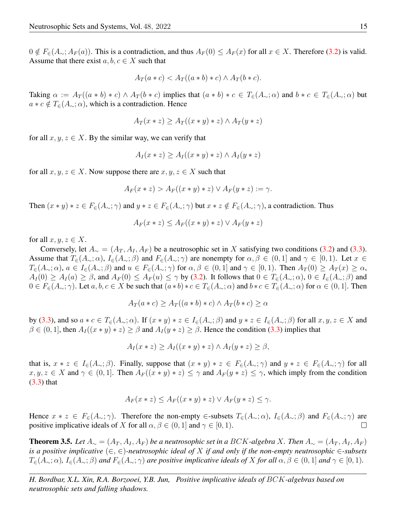$0 \notin F_{\epsilon}(A_{\sim}; A_F(a))$ . This is a contradiction, and thus  $A_F(0) \leq A_F(x)$  for all  $x \in X$ . Therefore [\(3.2\)](#page-5-2) is valid. Assume that there exist  $a, b, c \in X$  such that

$$
A_T(a*c) < A_T((a*b)*c) \land A_T(b*c).
$$

Taking  $\alpha := A_T((a * b) * c) \wedge A_T(b * c)$  implies that  $(a * b) * c \in T_{\epsilon}(A_{\sim}; \alpha)$  and  $b * c \in T_{\epsilon}(A_{\sim}; \alpha)$  but  $a * c \notin T_{\in}(A_{\sim}; \alpha)$ , which is a contradiction. Hence

$$
A_T(x * z) \ge A_T((x * y) * z) \land A_T(y * z)
$$

for all  $x, y, z \in X$ . By the similar way, we can verify that

$$
A_I(x * z) \ge A_I((x * y) * z) \wedge A_I(y * z)
$$

for all  $x, y, z \in X$ . Now suppose there are  $x, y, z \in X$  such that

$$
A_F(x * z) > A_F((x * y) * z) \lor A_F(y * z) := \gamma.
$$

Then  $(x * y) * z \in F_{\epsilon}(A_{\sim}; \gamma)$  and  $y * z \in F_{\epsilon}(A_{\sim}; \gamma)$  but  $x * z \notin F_{\epsilon}(A_{\sim}; \gamma)$ , a contradiction. Thus

$$
A_F(x * z) \le A_F((x * y) * z) \vee A_F(y * z)
$$

for all  $x, y, z \in X$ .

Conversely, let  $A_{\sim} = (A_T, A_I, A_F)$  be a neutrosophic set in X satisfying two conditions [\(3.2\)](#page-5-2) and [\(3.3\)](#page-5-3). Assume that  $T_{\epsilon}(A_{\sim};\alpha)$ ,  $I_{\epsilon}(A_{\sim};\beta)$  and  $F_{\epsilon}(A_{\sim};\gamma)$  are nonempty for  $\alpha, \beta \in (0,1]$  and  $\gamma \in [0,1)$ . Let  $x \in$  $T_{\epsilon}(A_{\sim};\alpha)$ ,  $a \in I_{\epsilon}(A_{\sim};\beta)$  and  $u \in F_{\epsilon}(A_{\sim};\gamma)$  for  $\alpha, \beta \in (0,1]$  and  $\gamma \in [0,1)$ . Then  $A_T(0) \geq A_T(x) \geq \alpha$ ,  $A_I(0) \ge A_I(a) \ge \beta$ , and  $A_F(0) \le A_F(u) \le \gamma$  by [\(3.2\)](#page-5-2). It follows that  $0 \in T_{\epsilon}(A_{\sim}; \alpha)$ ,  $0 \in I_{\epsilon}(A_{\sim}; \beta)$  and  $0 \in F_{\epsilon}(A_{\sim};\gamma)$ . Let  $a, b, c \in X$  be such that  $(a * b) * c \in T_{\epsilon}(A_{\sim};\alpha)$  and  $b * c \in T_{\epsilon}(A_{\sim};\alpha)$  for  $\alpha \in (0,1]$ . Then

$$
A_T(a*c) \ge A_T((a*b)*c) \land A_T(b*c) \ge \alpha
$$

by [\(3.3\)](#page-5-3), and so  $a * c \in T_{\epsilon}(A_{\sim}; \alpha)$ . If  $(x * y) * z \in I_{\epsilon}(A_{\sim}; \beta)$  and  $y * z \in I_{\epsilon}(A_{\sim}; \beta)$  for all  $x, y, z \in X$  and  $\beta \in (0,1]$ , then  $A_I((x * y) * z) \ge \beta$  and  $A_I(y * z) \ge \beta$ . Hence the condition [\(3.3\)](#page-5-3) implies that

$$
A_I(x * z) \ge A_I((x * y) * z) \wedge A_I(y * z) \ge \beta,
$$

that is,  $x * z \in I_{\in}(A_{\sim}; \beta)$ . Finally, suppose that  $(x * y) * z \in F_{\in}(A_{\sim}; \gamma)$  and  $y * z \in F_{\in}(A_{\sim}; \gamma)$  for all  $x, y, z \in X$  and  $\gamma \in (0, 1]$ . Then  $A_F((x * y) * z) \leq \gamma$  and  $A_F(y * z) \leq \gamma$ , which imply from the condition [\(3.3\)](#page-5-3) that

$$
A_F(x * z) \le A_F((x * y) * z) \lor A_F(y * z) \le \gamma.
$$

Hence  $x * z \in F_{\epsilon}(A_{\sim}; \gamma)$ . Therefore the non-empty ∈-subsets  $T_{\epsilon}(A_{\sim}; \alpha)$ ,  $I_{\epsilon}(A_{\sim}; \beta)$  and  $F_{\epsilon}(A_{\sim}; \gamma)$  are positive implicative ideals of X for all  $\alpha, \beta \in (0, 1]$  and  $\gamma \in [0, 1)$ .  $\Box$ 

<span id="page-6-0"></span>**Theorem 3.5.** Let  $A_{\sim} = (A_T, A_I, A_F)$  be a neutrosophic set in a BCK-algebra X. Then  $A_{\sim} = (A_T, A_I, A_F)$ *is* a positive implicative  $(\in, \in)$ -neutrosophic ideal of X if and only if the non-empty neutrosophic  $\in$ -subsets  $T_{\epsilon}(A_{\sim}; \alpha)$ ,  $I_{\epsilon}(A_{\sim}; \beta)$  *and*  $F_{\epsilon}(A_{\sim}; \gamma)$  *are positive implicative ideals of* X *for all*  $\alpha, \beta \in (0, 1]$  *and*  $\gamma \in [0, 1)$ *.*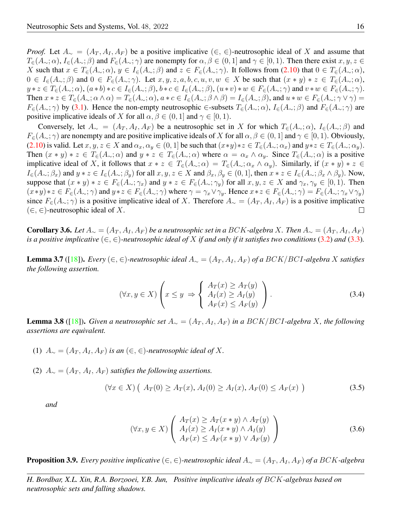*Proof.* Let  $A_{\sim} = (A_T, A_I, A_F)$  be a positive implicative  $(\in, \in)$ -neutrosophic ideal of X and assume that  $T_{\epsilon}(A_{\sim};\alpha)$ ,  $I_{\epsilon}(A_{\sim};\beta)$  and  $F_{\epsilon}(A_{\sim};\gamma)$  are nonempty for  $\alpha, \beta \in (0,1]$  and  $\gamma \in [0,1)$ . Then there exist  $x, y, z \in$ X such that  $x \in T_{\epsilon}(A_{\sim}; \alpha)$ ,  $y \in I_{\epsilon}(A_{\sim}; \beta)$  and  $z \in F_{\epsilon}(A_{\sim}; \gamma)$ . It follows from [\(2.10\)](#page-3-0) that  $0 \in T_{\epsilon}(A_{\sim}; \alpha)$ ,  $0 \in I_{\epsilon}(A_{\sim};\beta)$  and  $0 \in F_{\epsilon}(A_{\sim};\gamma)$ . Let  $x, y, z, a, b, c, u, v, w \in X$  be such that  $(x * y) * z \in T_{\epsilon}(A_{\sim};\alpha)$ ,  $y * z \in T_{\epsilon}(A_{\sim}; \alpha)$ ,  $(a * b) * c \in I_{\epsilon}(A_{\sim}; \beta)$ ,  $b * c \in I_{\epsilon}(A_{\sim}; \beta)$ ,  $(u * v) * w \in F_{\epsilon}(A_{\sim}; \gamma)$  and  $v * w \in F_{\epsilon}(A_{\sim}; \gamma)$ . Then  $x * z \in T_{\epsilon}(A_{\sim}; \alpha \wedge \alpha) = T_{\epsilon}(A_{\sim}; \alpha), a * c \in I_{\epsilon}(A_{\sim}; \beta \wedge \beta) = I_{\epsilon}(A_{\sim}; \beta),$  and  $u * w \in F_{\epsilon}(A_{\sim}; \gamma \vee \gamma) =$  $F_{\epsilon}(A_{\sim};\gamma)$  by [\(3.1\)](#page-4-0). Hence the non-empty neutrosophic ∈-subsets  $T_{\epsilon}(A_{\sim};\alpha)$ ,  $I_{\epsilon}(A_{\sim};\beta)$  and  $F_{\epsilon}(A_{\sim};\gamma)$  are positive implicative ideals of X for all  $\alpha, \beta \in (0, 1]$  and  $\gamma \in [0, 1)$ .

Conversely, let  $A_\sim = (A_T, A_I, A_F)$  be a neutrosophic set in X for which  $T_\in (A_\sim; \alpha)$ ,  $I_\in (A_\sim; \beta)$  and  $F_{\epsilon}(A_{\sim};\gamma)$  are nonempty and are positive implicative ideals of X for all  $\alpha, \beta \in (0,1]$  and  $\gamma \in [0,1)$ . Obviously, [\(2.10\)](#page-3-0) is valid. Let  $x, y, z \in X$  and  $\alpha_x, \alpha_y \in (0, 1]$  be such that  $(x*y)*z \in T_{\in}(A_{\sim}; \alpha_x)$  and  $y*z \in T_{\in}(A_{\sim}; \alpha_y)$ . Then  $(x * y) * z \in T_{\epsilon}(A_{\sim}; \alpha)$  and  $y * z \in T_{\epsilon}(A_{\sim}; \alpha)$  where  $\alpha = \alpha_x \wedge \alpha_y$ . Since  $T_{\epsilon}(A_{\sim}; \alpha)$  is a positive implicative ideal of X, it follows that  $x * z \in T_{\epsilon}(A_{\sim}; \alpha) = T_{\epsilon}(A_{\sim}; \alpha_x \wedge \alpha_y)$ . Similarly, if  $(x * y) * z \in$  $I_{\epsilon}(A_{\sim};\beta_x)$  and  $y * z \in I_{\epsilon}(A_{\sim};\beta_y)$  for all  $x, y, z \in X$  and  $\beta_x, \beta_y \in (0,1]$ , then  $x * z \in I_{\epsilon}(A_{\sim};\beta_x \wedge \beta_y)$ . Now, suppose that  $(x * y) * z \in F_{\epsilon}(A_{\sim}; \gamma_x)$  and  $y * z \in F_{\epsilon}(A_{\sim}; \gamma_y)$  for all  $x, y, z \in X$  and  $\gamma_x, \gamma_y \in [0, 1)$ . Then  $(x*y)*z \in F_{\in}(A_{\sim};\gamma)$  and  $y*z \in F_{\in}(A_{\sim};\gamma)$  where  $\gamma = \gamma_x \vee \gamma_y$ . Hence  $x*z \in F_{\in}(A_{\sim};\gamma) = F_{\in}(A_{\sim};\gamma_x \vee \gamma_y)$ since  $F_{\epsilon}(A_{\sim};\gamma)$  is a positive implicative ideal of X. Therefore  $A_{\sim} = (A_T, A_I, A_F)$  is a positive implicative  $(\in, \in)$ -neutrosophic ideal of X.  $\Box$ 

**Corollary 3.6.** Let  $A_∼ = (A_T, A_I, A_F)$  be a neutrosophic set in a BCK-algebra X. Then  $A_∼ = (A_T, A_I, A_F)$ is a positive implicative  $(\in, \in)$ -neutrosophic ideal of X if and only if it satisfies two conditions [\(3.2\)](#page-5-2) and [\(3.3\)](#page-5-3).

<span id="page-7-0"></span>**Lemma 3.7** ([\[18\]](#page-20-14)). *Every* (∈, ∈)-neutrosophic ideal  $A_∼ = (A_T, A_I, A_F)$  of a BCK/BCI-algebra X satisfies *the following assertion.*

<span id="page-7-3"></span>
$$
(\forall x, y \in X) \left( x \le y \implies \begin{cases} A_T(x) \ge A_T(y) \\ A_I(x) \ge A_I(y) \\ A_F(x) \le A_F(y) \end{cases} \right). \tag{3.4}
$$

<span id="page-7-1"></span>**Lemma 3.8** ([\[18\]](#page-20-14)). *Given a neutrosophic set*  $A_∼ = (A_T, A_I, A_F)$  *in a BCK*/*BCI-algebra X, the following assertions are equivalent.*

- (1)  $A_{\sim} = (A_T, A_I, A_F)$  *is an* (∈, ∈)-*neutrosophic ideal of* X.
- (2)  $A_{\sim} = (A_T, A_I, A_F)$  *satisfies the following assertions.*

$$
(\forall x \in X) \left( A_T(0) \ge A_T(x), A_I(0) \ge A_I(x), A_F(0) \le A_F(x) \right) \tag{3.5}
$$

*and*

<span id="page-7-2"></span>
$$
(\forall x, y \in X) \left( \begin{array}{c} A_T(x) \ge A_T(x * y) \land A_T(y) \\ A_I(x) \ge A_I(x * y) \land A_I(y) \\ A_F(x) \le A_F(x * y) \lor A_F(y) \end{array} \right)
$$
(3.6)

**Proposition 3.9.** *Every positive implicative* (∈, ∈)-*neutrosophic ideal*  $A_∼ = (A_T, A_I, A_F)$  *of a* BCK-algebra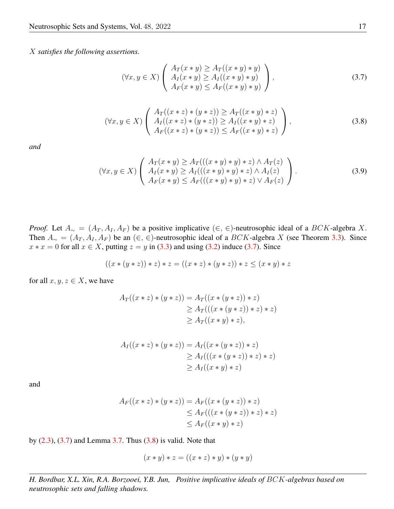X *satisfies the following assertions.*

<span id="page-8-2"></span><span id="page-8-1"></span><span id="page-8-0"></span>
$$
(\forall x, y \in X) \left( \begin{array}{c} A_T(x * y) \ge A_T((x * y) * y) \\ A_I(x * y) \ge A_I((x * y) * y) \\ A_F(x * y) \le A_F((x * y) * y) \end{array} \right), \tag{3.7}
$$

$$
(\forall x, y \in X) \left( \begin{array}{c} A_T((x * z) * (y * z)) \ge A_T((x * y) * z) \\ A_I((x * z) * (y * z)) \ge A_I((x * y) * z) \\ A_F((x * z) * (y * z)) \le A_F((x * y) * z) \end{array} \right),
$$
\n(3.8)

*and*

$$
(\forall x, y \in X) \left( \begin{array}{c} A_T(x * y) \ge A_T(((x * y) * y) * z) \land A_T(z) \\ A_I(x * y) \ge A_I(((x * y) * y) * z) \land A_I(z) \\ A_F(x * y) \le A_F(((x * y) * y) * z) \lor A_F(z) \end{array} \right). \tag{3.9}
$$

*Proof.* Let  $A_{\sim} = (A_T, A_I, A_F)$  be a positive implicative  $(\in, \in)$ -neutrosophic ideal of a BCK-algebra X. Then  $A_{\sim} = (A_T, A_I, A_F)$  be an  $(\in, \in)$ -neutrosophic ideal of a BCK-algebra X (see Theorem [3.3\)](#page-5-4). Since  $x * x = 0$  for all  $x \in X$ , putting  $z = y$  in [\(3.3\)](#page-5-3) and using [\(3.2\)](#page-5-2) induce [\(3.7\)](#page-8-0). Since

$$
((x * (y * z)) * z) * z = ((x * z) * (y * z)) * z \leq (x * y) * z
$$

for all  $x, y, z \in X$ , we have

$$
A_T((x * z) * (y * z)) = A_T((x * (y * z)) * z)
$$
  
\n
$$
\ge A_T(((x * (y * z)) * z) * z)
$$
  
\n
$$
\ge A_T((x * y) * z),
$$

$$
A_I((x * z) * (y * z)) = A_I((x * (y * z)) * z)
$$
  
\n
$$
\ge A_I(((x * (y * z)) * z) * z)
$$
  
\n
$$
\ge A_I((x * y) * z)
$$

and

$$
A_F((x * z) * (y * z)) = A_F((x * (y * z)) * z)
$$
  
\n
$$
\leq A_F(((x * (y * z)) * z) * z)
$$
  
\n
$$
\leq A_F((x * y) * z)
$$

by  $(2.3)$ ,  $(3.7)$  and Lemma [3.7.](#page-7-0) Thus  $(3.8)$  is valid. Note that

$$
(x * y) * z = ((x * z) * y) * (y * y)
$$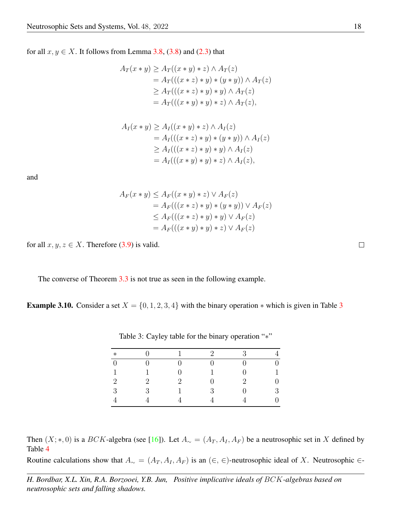for all  $x, y \in X$ . It follows from Lemma [3.8,](#page-7-1) [\(3.8\)](#page-8-1) and [\(2.3\)](#page-2-1) that

$$
A_T(x * y) \ge A_T((x * y) * z) \wedge A_T(z)
$$
  
=  $A_T(((x * z) * y) * (y * y)) \wedge A_T(z)$   
 $\ge A_T(((x * z) * y) * y) \wedge A_T(z)$   
=  $A_T(((x * y) * y) * z) \wedge A_T(z),$ 

$$
A_I(x * y) \ge A_I((x * y) * z) \wedge A_I(z)
$$
  
=  $A_I(((x * z) * y) * (y * y)) \wedge A_I(z)$   
 $\ge A_I(((x * z) * y) * y) \wedge A_I(z)$   
=  $A_I(((x * y) * y) * z) \wedge A_I(z),$ 

and

$$
A_F(x * y) \le A_F((x * y) * z) \vee A_F(z)
$$
  
=  $A_F(((x * z) * y) * (y * y)) \vee A_F(z)$   
 $\le A_F(((x * z) * y) * y) \vee A_F(z)$   
=  $A_F(((x * y) * y) * z) \vee A_F(z)$ 

for all  $x, y, z \in X$ . Therefore [\(3.9\)](#page-8-2) is valid.

The converse of Theorem [3.3](#page-5-4) is not true as seen in the following example.

**Example [3](#page-9-0).10.** Consider a set  $X = \{0, 1, 2, 3, 4\}$  with the binary operation  $*$  which is given in Table 3

| $\ast$   |               |               | $\mathcal{D}_{\mathcal{L}}$ | $\mathcal{R}$               |   |
|----------|---------------|---------------|-----------------------------|-----------------------------|---|
| $\Omega$ |               |               |                             |                             | 0 |
| 1        |               |               |                             | 0                           |   |
| 2        | $\mathcal{D}$ | $\mathcal{D}$ | 0                           | $\mathcal{D}_{\mathcal{L}}$ | 0 |
| 3        | 3             |               | 3                           | O)                          | 3 |
|          |               |               |                             |                             | 0 |

<span id="page-9-0"></span>Table 3: Cayley table for the binary operation "\*"

Then  $(X; *, 0)$  is a BCK-algebra (see [\[16\]](#page-20-17)). Let  $A_{\sim} = (A_T, A_I, A_F)$  be a neutrosophic set in X defined by Table [4](#page-10-0)

Routine calculations show that  $A_∼ = (A_T, A_I, A_F)$  is an  $(∈, ∈)$ -neutrosophic ideal of X. Neutrosophic ∈-

*H. Bordbar, X.L. Xin, R.A. Borzooei, Y.B. Jun, Positive implicative ideals of* BCK*-algebras based on neutrosophic sets and falling shadows.*

 $\Box$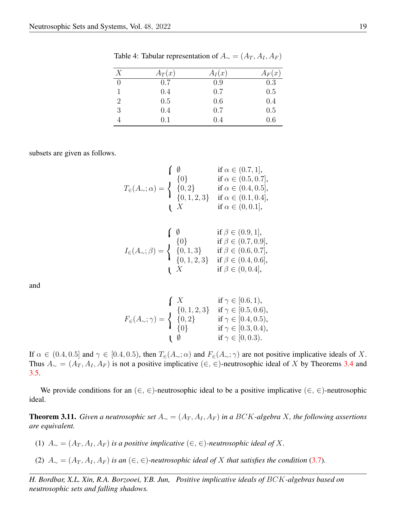| X                           | $A_T(x)$ | $A_I(x)$ | $A_F(x)$ |
|-----------------------------|----------|----------|----------|
| 0                           | 0.7      | 0.9      | 0.3      |
|                             | 0.4      | 0.7      | 0.5      |
| $\mathcal{D}_{\mathcal{L}}$ | 0.5      | 0.6      | 0.4      |
| 3                           | 0.4      | 0.7      | 0.5      |
|                             | 0.1      | 0.4      | 0.6      |

<span id="page-10-0"></span>Table 4: Tabular representation of  $A_{\sim} = (A_T, A_I, A_F)$ 

subsets are given as follows.

$$
T_{\in}(A_{\sim}; \alpha) = \begin{cases} \emptyset & \text{if } \alpha \in (0.7, 1], \\ \{0\} & \text{if } \alpha \in (0.5, 0.7], \\ \{0, 2\} & \text{if } \alpha \in (0.4, 0.5], \\ \{0, 1, 2, 3\} & \text{if } \alpha \in (0.1, 0.4], \\ X & \text{if } \alpha \in (0, 0.1], \end{cases}
$$

$$
I_{\in}(A_{\sim};\beta) = \begin{cases} \n\emptyset & \text{if } \beta \in (0.9,1], \\ \n\{0\} & \text{if } \beta \in (0.7,0.9], \\ \n\{0,1,3\} & \text{if } \beta \in (0.6,0.7], \\ \n\{0,1,2,3\} & \text{if } \beta \in (0.4,0.6], \\ \n\{X & \text{if } \beta \in (0,0.4], \n\end{cases}
$$

and

$$
F_{\in}(A_{\sim};\gamma) = \begin{cases} X & \text{if } \gamma \in [0.6,1), \\ \{0,1,2,3\} & \text{if } \gamma \in [0.5,0.6), \\ \{0,2\} & \text{if } \gamma \in [0.4,0.5), \\ \{0\} & \text{if } \gamma \in [0.3,0.4), \\ \emptyset & \text{if } \gamma \in [0,0.3). \end{cases}
$$

If  $\alpha \in (0.4, 0.5]$  and  $\gamma \in [0.4, 0.5]$ , then  $T_{\epsilon}(A_{\sim}; \alpha)$  and  $F_{\epsilon}(A_{\sim}; \gamma)$  are not positive implicative ideals of X. Thus  $A_{\sim} = (A_T, A_I, A_F)$  is not a positive implicative (∈, ∈)-neutrosophic ideal of X by Theorems [3.4](#page-5-5) and [3.5.](#page-6-0)

We provide conditions for an  $(\in, \in)$ -neutrosophic ideal to be a positive implicative  $(\in, \in)$ -neutrosophic ideal.

**Theorem 3.11.** *Given a neutrosophic set*  $A_∼ = (A_T, A_I, A_F)$  *in a BCK-algebra X, the following assertions are equivalent.*

- (1)  $A<sub>∼</sub> = (A<sub>T</sub>, A<sub>I</sub>, A<sub>F</sub>)$  *is a positive implicative* (∈, ∈)-*neutrosophic ideal of X*.
- (2)  $A<sub>∼</sub> = (A<sub>T</sub>, A<sub>I</sub>, A<sub>F</sub>)$  *is an* (∈, ∈)-*neutrosophic ideal of* X *that satisfies the condition* [\(3.7\)](#page-8-0)*.*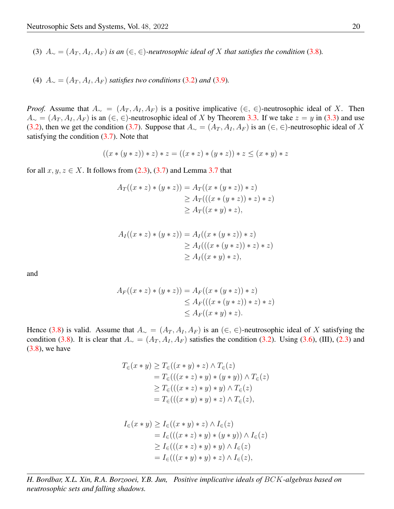(3)  $A_{\sim} = (A_T, A_I, A_F)$  *is an*  $(\in, \in)$ -neutrosophic *ideal* of X *that satisfies the condition* [\(3.8\)](#page-8-1)*.* 

(4)  $A_{\sim} = (A_T, A_I, A_F)$  *satisfies two conditions* [\(3.2\)](#page-5-2) *and* [\(3.9\)](#page-8-2)*.* 

*Proof.* Assume that  $A_{\sim} = (A_T, A_I, A_F)$  is a positive implicative  $(\in, \in)$ -neutrosophic ideal of X. Then  $A_{\sim} = (A_T, A_I, A_F)$  is an  $(\in, \in)$ -neutrosophic ideal of X by Theorem [3.3.](#page-5-4) If we take  $z = y$  in [\(3.3\)](#page-5-3) and use [\(3.2\)](#page-5-2), then we get the condition [\(3.7\)](#page-8-0). Suppose that  $A_{\sim} = (A_T, A_I, A_F)$  is an (∈, ∈)-neutrosophic ideal of X satisfying the condition  $(3.7)$ . Note that

$$
((x * (y * z)) * z) * z = ((x * z) * (y * z)) * z \leq (x * y) * z
$$

for all  $x, y, z \in X$ . It follows from [\(2.3\)](#page-2-1), [\(3.7\)](#page-8-0) and Lemma [3.7](#page-7-0) that

$$
A_T((x * z) * (y * z)) = A_T((x * (y * z)) * z)
$$
  
\n
$$
\ge A_T(((x * (y * z)) * z) * z)
$$
  
\n
$$
\ge A_T((x * y) * z),
$$

$$
A_I((x * z) * (y * z)) = A_I((x * (y * z)) * z)
$$
  
\n
$$
\ge A_I(((x * (y * z)) * z) * z)
$$
  
\n
$$
\ge A_I((x * y) * z),
$$

and

$$
A_F((x * z) * (y * z)) = A_F((x * (y * z)) * z)
$$
  
\n
$$
\leq A_F(((x * (y * z)) * z) * z)
$$
  
\n
$$
\leq A_F((x * y) * z).
$$

Hence [\(3.8\)](#page-8-1) is valid. Assume that  $A_ ∼ = (A_T, A_I, A_F)$  is an  $(∈, ∈)$ -neutrosophic ideal of X satisfying the condition [\(3.8\)](#page-8-1). It is clear that  $A_ ∼ = (A_T, A_I, A_F)$  satisfies the condition [\(3.2\)](#page-5-2). Using [\(3.6\)](#page-7-2), (III), [\(2.3\)](#page-2-1) and  $(3.8)$ , we have

$$
T_{\in}(x * y) \geq T_{\in}((x * y) * z) \land T_{\in}(z)
$$
  
= 
$$
T_{\in}(((x * z) * y) * (y * y)) \land T_{\in}(z)
$$
  

$$
\geq T_{\in}(((x * z) * y) * y) \land T_{\in}(z)
$$
  
= 
$$
T_{\in}(((x * y) * y) * z) \land T_{\in}(z),
$$

$$
I_{\in}(x * y) \ge I_{\in}((x * y) * z) \land I_{\in}(z)
$$
  
=  $I_{\in}(((x * z) * y) * (y * y)) \land I_{\in}(z)$   
 $\ge I_{\in}(((x * z) * y) * y) \land I_{\in}(z)$   
=  $I_{\in}(((x * y) * y) * z) \land I_{\in}(z),$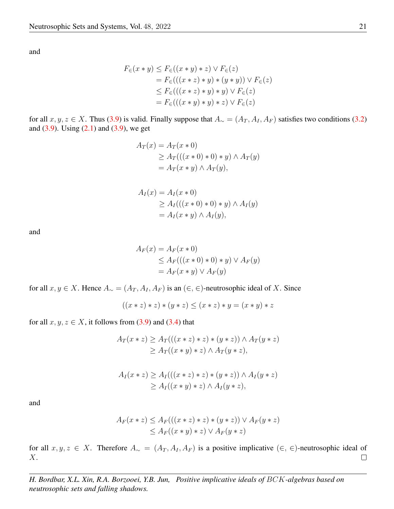and

$$
F_{\in}(x * y) \le F_{\in}((x * y) * z) \lor F_{\in}(z)
$$
  
=  $F_{\in}(((x * z) * y) * (y * y)) \lor F_{\in}(z)$   
 $\le F_{\in}(((x * z) * y) * y) \lor F_{\in}(z)$   
=  $F_{\in}(((x * y) * y) * z) \lor F_{\in}(z)$ 

for all  $x, y, z \in X$ . Thus [\(3.9\)](#page-8-2) is valid. Finally suppose that  $A_{\sim} = (A_T, A_T, A_F)$  satisfies two conditions [\(3.2\)](#page-5-2) and  $(3.9)$ . Using  $(2.1)$  and  $(3.9)$ , we get

$$
A_T(x) = A_T(x * 0)
$$
  
\n
$$
\ge A_T(((x * 0) * 0) * y) \wedge A_T(y)
$$
  
\n
$$
= A_T(x * y) \wedge A_T(y),
$$

$$
A_I(x) = A_I(x * 0)
$$
  
\n
$$
\ge A_I(((x * 0) * 0) * y) \wedge A_I(y)
$$
  
\n
$$
= A_I(x * y) \wedge A_I(y),
$$

and

$$
A_F(x) = A_F(x * 0)
$$
  
\n
$$
\leq A_F(((x * 0) * 0) * y) \vee A_F(y)
$$
  
\n
$$
= A_F(x * y) \vee A_F(y)
$$

for all  $x, y \in X$ . Hence  $A_{\sim} = (A_T, A_I, A_F)$  is an  $(∈, ∈)$ -neutrosophic ideal of X. Since

 $((x * z) * z) * (y * z) \leq (x * z) * y = (x * y) * z$ 

for all  $x, y, z \in X$ , it follows from [\(3.9\)](#page-8-2) and [\(3.4\)](#page-7-3) that

$$
A_T(x * z) \ge A_T(((x * z) * z) * (y * z)) \wedge A_T(y * z)
$$
  
\n
$$
\ge A_T((x * y) * z) \wedge A_T(y * z),
$$

$$
A_I(x * z) \ge A_I(((x * z) * z) * (y * z)) \wedge A_I(y * z)
$$
  
\n
$$
\ge A_I((x * y) * z) \wedge A_I(y * z),
$$

and

$$
A_F(x * z) \le A_F(((x * z) * z) * (y * z)) \vee A_F(y * z)
$$
  

$$
\le A_F((x * y) * z) \vee A_F(y * z)
$$

for all  $x, y, z \in X$ . Therefore  $A_{\sim} = (A_T, A_I, A_F)$  is a positive implicative  $(\in, \in)$ -neutrosophic ideal of X.  $\Box$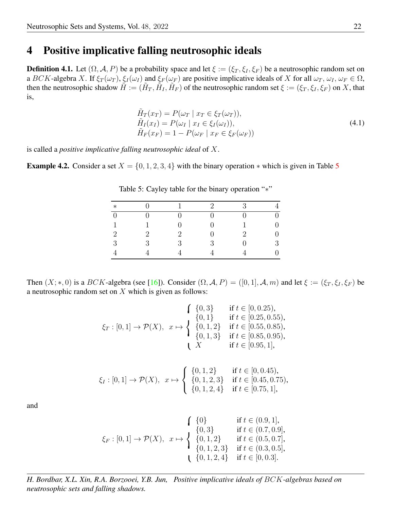### 4 Positive implicative falling neutrosophic ideals

then the neutrosophic shadow  $\tilde{H} := (\tilde{H}_T, \tilde{H}_I, \tilde{H}_F)$  of the neutrosophic random set  $\xi := (\xi_T, \xi_I, \xi_F)$  on X, that **Definition 4.1.** Let  $(\Omega, \mathcal{A}, P)$  be a probability space and let  $\xi := (\xi_T, \xi_I, \xi_F)$  be a neutrosophic random set on a BCK-algebra X. If  $\xi_T(\omega_T)$ ,  $\xi_I(\omega_I)$  and  $\xi_F(\omega_F)$  are positive implicative ideals of X for all  $\omega_T$ ,  $\omega_I$ ,  $\omega_F \in \Omega$ , is,

$$
\tilde{H}_T(x_T) = P(\omega_T \mid x_T \in \xi_T(\omega_T)), \n\tilde{H}_I(x_I) = P(\omega_I \mid x_I \in \xi_I(\omega_I)), \n\tilde{H}_F(x_F) = 1 - P(\omega_F \mid x_F \in \xi_F(\omega_F))
$$
\n(4.1)

is called a *positive implicative falling neutrosophic ideal* of X.

**Example 4.2.** Consider a set  $X = \{0, 1, 2, 3, 4\}$  with the binary operation  $*$  which is given in Table [5](#page-13-0)

| $\ast$         |   |                             | $\mathcal{D}_{\mathcal{L}}$ | 3                           | $\overline{4}$   |
|----------------|---|-----------------------------|-----------------------------|-----------------------------|------------------|
| $\overline{0}$ |   |                             |                             | 0                           | $\boldsymbol{0}$ |
| $\mathbf{1}$   |   |                             |                             |                             | $\boldsymbol{0}$ |
| $\overline{2}$ | 2 | $\mathcal{D}_{\mathcal{L}}$ |                             | $\mathcal{D}_{\mathcal{L}}$ | $\boldsymbol{0}$ |
| 3              | 3 | 3                           | 3                           | ⋂                           | 3                |
|                |   |                             |                             |                             | $\overline{0}$   |

<span id="page-13-0"></span>Table 5: Cayley table for the binary operation "<sup>∗</sup>"

Then  $(X;*,0)$  is a  $BCK$ -algebra (see [\[16\]](#page-20-17)). Consider  $(\Omega, \mathcal{A}, P) = ([0,1], \mathcal{A}, m)$  and let  $\xi := (\xi_T, \xi_I, \xi_F)$  be a neutrosophic random set on  $X$  which is given as follows:

$$
\xi_T : [0,1] \to \mathcal{P}(X), \quad x \mapsto \begin{cases} \{0,3\} & \text{if } t \in [0,0.25), \\ \{0,1\} & \text{if } t \in [0.25,0.55), \\ \{0,1,2\} & \text{if } t \in [0.55,0.85), \\ \{0,1,3\} & \text{if } t \in [0.85,0.95), \\ X & \text{if } t \in [0.95,1], \end{cases}
$$

$$
\xi_I : [0,1] \to \mathcal{P}(X), \quad x \mapsto \begin{cases} \{0,1,2\} & \text{if } t \in [0,0.45), \\ \{0,1,2,3\} & \text{if } t \in [0.45,0.75), \\ \{0,1,2,4\} & \text{if } t \in [0.75,1], \end{cases}
$$

and

$$
\xi_F : [0,1] \to \mathcal{P}(X), \quad x \mapsto \begin{cases} \{0\} & \text{if } t \in (0.9,1], \\ \{0,3\} & \text{if } t \in (0.7,0.9], \\ \{0,1,2\} & \text{if } t \in (0.5,0.7], \\ \{0,1,2,3\} & \text{if } t \in (0.3,0.5], \\ \{0,1,2,4\} & \text{if } t \in [0,0.3]. \end{cases}
$$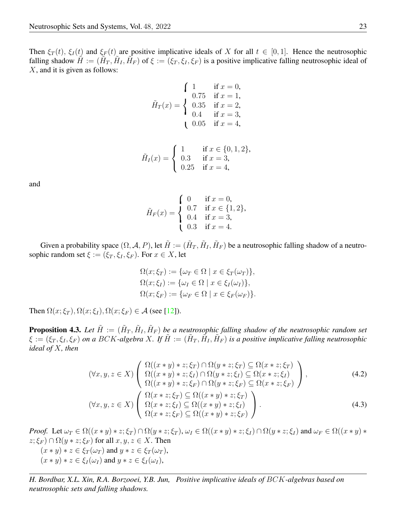falling shadow  $\tilde{H} := (\tilde{H}_T, \tilde{H}_I, \tilde{H}_F)$  of  $\xi := (\xi_T, \xi_I, \xi_F)$  is a positive implicative falling neutrosophic ideal of Then  $\xi_T(t)$ ,  $\xi_I(t)$  and  $\xi_F(t)$  are positive implicative ideals of X for all  $t \in [0,1]$ . Hence the neutrosophic X, and it is given as follows:

$$
\tilde{H}_T(x) = \begin{cases}\n1 & \text{if } x = 0, \\
0.75 & \text{if } x = 1, \\
0.35 & \text{if } x = 2, \\
0.4 & \text{if } x = 3, \\
0.05 & \text{if } x = 4,\n\end{cases}
$$

$$
\tilde{H}_I(x) = \begin{cases}\n1 & \text{if } x \in \{0, 1, 2\}, \\
0.3 & \text{if } x = 3, \\
0.25 & \text{if } x = 4,\n\end{cases}
$$

and

$$
\tilde{H}_F(x) = \begin{cases}\n0 & \text{if } x = 0, \\
0.7 & \text{if } x \in \{1, 2\}, \\
0.4 & \text{if } x = 3, \\
0.3 & \text{if } x = 4.\n\end{cases}
$$

Given a probability space  $(\Omega, \mathcal{A}, P)$ , let  $\tilde{H} := (\tilde{H}_T, \tilde{H}_I, \tilde{H}_F)$  be a neutrosophic falling shadow of a neutrosophic random set  $\xi := (\xi_T, \xi_I, \xi_F)$ . For  $x \in X$ , let

<span id="page-14-1"></span><span id="page-14-0"></span>
$$
\Omega(x; \xi_T) := \{ \omega_T \in \Omega \mid x \in \xi_T(\omega_T) \},
$$
  
\n
$$
\Omega(x; \xi_I) := \{ \omega_I \in \Omega \mid x \in \xi_I(\omega_I) \},
$$
  
\n
$$
\Omega(x; \xi_F) := \{ \omega_F \in \Omega \mid x \in \xi_F(\omega_F) \}.
$$

Then  $\Omega(x; \xi_T)$ ,  $\Omega(x; \xi_I)$ ,  $\Omega(x; \xi_F) \in \mathcal{A}$  (see [\[12\]](#page-20-11)).

**Proposition 4.3.** Let  $\tilde{H} := (\tilde{H}_T, \tilde{H}_I, \tilde{H}_F)$  be a neutrosophic falling shadow of the neutrosophic random set  $\xi := (\xi_T, \xi_I, \xi_F)$  on a BCK-algebra X. If  $\tilde{H} := (\tilde{H}_T, \tilde{H}_I, \tilde{H}_F)$  is a positive implicative falling neutrosophic *ideal of* X*, then*

$$
(\forall x, y, z \in X) \left( \begin{array}{c} \Omega((x * y) * z; \xi_T) \cap \Omega(y * z; \xi_T) \subseteq \Omega(x * z; \xi_T) \\ \Omega((x * y) * z; \xi_I) \cap \Omega(y * z; \xi_I) \subseteq \Omega(x * z; \xi_I) \\ \Omega((x * y) * z; \xi_F) \cap \Omega(y * z; \xi_F) \subseteq \Omega(x * z; \xi_F) \\ \Omega((x * y) * z; \xi_F) \subseteq \Omega(x * z; \xi_F) \end{array} \right), \tag{4.2}
$$
  

$$
(\forall x, y, z \in X) \left( \begin{array}{c} \Omega(x * z; \xi_T) \subseteq \Omega((x * y) * z; \xi_T) \\ \Omega(x * z; \xi_T) \subseteq \Omega((x * y) * z; \xi_F) \\ \Omega(x * z; \xi_F) \subseteq \Omega((x * y) * z; \xi_F) \end{array} \right).
$$

*Proof.* Let  $\omega_T \in \Omega((x * y) * z; \xi_T) \cap \Omega(y * z; \xi_T)$ ,  $\omega_I \in \Omega((x * y) * z; \xi_I) \cap \Omega(y * z; \xi_I)$  and  $\omega_F \in \Omega((x * y) * z; \xi_I)$  $z; \xi_F$ )  $\cap \Omega(y * z; \xi_F)$  for all  $x, y, z \in X$ . Then  $(x * y) * z \in \xi_T(\omega_T)$  and  $y * z \in \xi_T(\omega_T)$ ,  $(x * y) * z \in \xi_I(\omega_I)$  and  $y * z \in \xi_I(\omega_I)$ ,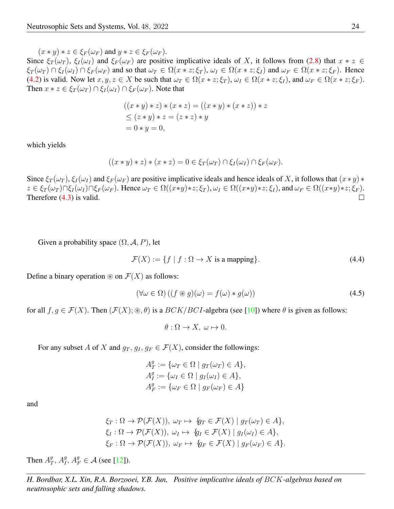$(x * y) * z \in \xi_F(\omega_F)$  and  $y * z \in \xi_F(\omega_F)$ .

Since  $\xi_T(\omega_T)$ ,  $\xi_I(\omega_I)$  and  $\xi_F(\omega_F)$  are positive implicative ideals of X, it follows from [\(2.8\)](#page-2-2) that  $x * z \in$  $\xi_T(\omega_T) \cap \xi_I(\omega_I) \cap \xi_F(\omega_F)$  and so that  $\omega_T \in \Omega(x * z; \xi_T)$ ,  $\omega_I \in \Omega(x * z; \xi_I)$  and  $\omega_F \in \Omega(x * z; \xi_F)$ . Hence [\(4.2\)](#page-14-0) is valid. Now let  $x, y, z \in X$  be such that  $\omega_T \in \Omega(x * z; \xi_T)$ ,  $\omega_I \in \Omega(x * z; \xi_I)$ , and  $\omega_F \in \Omega(x * z; \xi_F)$ . Then  $x * z \in \xi_T(\omega_T) \cap \xi_I(\omega_I) \cap \xi_F(\omega_F)$ . Note that

$$
((x * y) * z) * (x * z) = ((x * y) * (x * z)) * z
$$
  
\n
$$
\leq (z * y) * z = (z * z) * y
$$
  
\n
$$
= 0 * y = 0,
$$

which yields

$$
((x * y) * z) * (x * z) = 0 \in \xi_T(\omega_T) \cap \xi_I(\omega_I) \cap \xi_F(\omega_F).
$$

Since  $\xi_T(\omega_T)$ ,  $\xi_I(\omega_I)$  and  $\xi_F(\omega_F)$  are positive implicative ideals and hence ideals of X, it follows that  $(x * y) *$  $z \in \xi_T(\omega_T) \cap \xi_I(\omega_I) \cap \xi_F(\omega_F)$ . Hence  $\omega_T \in \Omega((x \ast y) \ast z; \xi_T)$ ,  $\omega_I \in \Omega((x \ast y) \ast z; \xi_I)$ , and  $\omega_F \in \Omega((x \ast y) \ast z; \xi_F)$ . Therefore [\(4.3\)](#page-14-1) is valid.  $\Box$ 

Given a probability space  $(\Omega, \mathcal{A}, P)$ , let

$$
\mathcal{F}(X) := \{ f \mid f : \Omega \to X \text{ is a mapping} \}. \tag{4.4}
$$

Define a binary operation  $\mathcal{F}(X)$  as follows:

$$
(\forall \omega \in \Omega) \left( (f \circledast g)(\omega) = f(\omega) * g(\omega) \right) \tag{4.5}
$$

for all  $f, g \in \mathcal{F}(X)$ . Then  $(\mathcal{F}(X); \mathcal{F}, \theta)$  is a  $BCK/BCI$ -algebra (see [\[10\]](#page-20-19)) where  $\theta$  is given as follows:

$$
\theta: \Omega \to X, \ \omega \mapsto 0.
$$

For any subset A of X and  $g_T, g_I, g_F \in \mathcal{F}(X)$ , consider the followings:

$$
A_T^g := \{ \omega_T \in \Omega \mid g_T(\omega_T) \in A \},
$$
  
\n
$$
A_T^g := \{ \omega_I \in \Omega \mid g_I(\omega_I) \in A \},
$$
  
\n
$$
A_F^g := \{ \omega_F \in \Omega \mid g_F(\omega_F) \in A \}
$$

and

$$
\xi_T : \Omega \to \mathcal{P}(\mathcal{F}(X)), \omega_T \mapsto \{g_T \in \mathcal{F}(X) \mid g_T(\omega_T) \in A\},
$$
  
\n
$$
\xi_I : \Omega \to \mathcal{P}(\mathcal{F}(X)), \omega_I \mapsto \{g_I \in \mathcal{F}(X) \mid g_I(\omega_I) \in A\},
$$
  
\n
$$
\xi_F : \Omega \to \mathcal{P}(\mathcal{F}(X)), \omega_F \mapsto \{g_F \in \mathcal{F}(X) \mid g_F(\omega_F) \in A\}.
$$

Then  $A_T^g$ ,  $A_I^g$ ,  $A_F^g \in \mathcal{A}$  (see [\[12\]](#page-20-11)).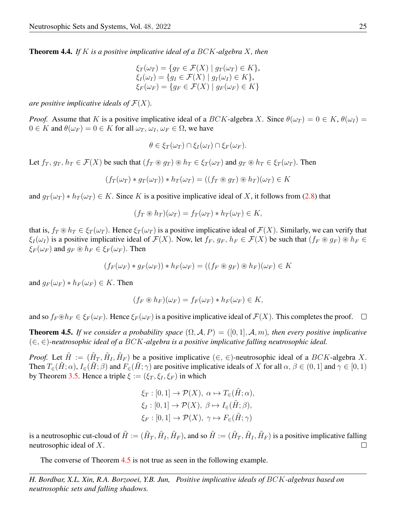Theorem 4.4. *If* K *is a positive implicative ideal of a* BCK*-algebra* X*, then*

$$
\xi_T(\omega_T) = \{ g_T \in \mathcal{F}(X) \mid g_T(\omega_T) \in K \},
$$
  
\n
$$
\xi_I(\omega_I) = \{ g_I \in \mathcal{F}(X) \mid g_I(\omega_I) \in K \},
$$
  
\n
$$
\xi_F(\omega_F) = \{ g_F \in \mathcal{F}(X) \mid g_F(\omega_F) \in K \}
$$

*are positive implicative ideals of*  $\mathcal{F}(X)$ *.* 

*Proof.* Assume that K is a positive implicative ideal of a BCK-algebra X. Since  $\theta(\omega_T) = 0 \in K$ ,  $\theta(\omega_I) =$  $0 \in K$  and  $\theta(\omega_F) = 0 \in K$  for all  $\omega_T$ ,  $\omega_I$ ,  $\omega_F \in \Omega$ , we have

$$
\theta \in \xi_T(\omega_T) \cap \xi_I(\omega_I) \cap \xi_F(\omega_F).
$$

Let  $f_T, g_T, h_T \in \mathcal{F}(X)$  be such that  $(f_T \otimes g_T) \otimes h_T \in \xi_T(\omega_T)$  and  $g_T \otimes h_T \in \xi_T(\omega_T)$ . Then

$$
(f_T(\omega_T) * g_T(\omega_T)) * h_T(\omega_T) = ((f_T \circledast g_T) \circledast h_T)(\omega_T) \in K
$$

and  $g_T(\omega_T) * h_T(\omega_T) \in K$ . Since K is a positive implicative ideal of X, it follows from [\(2.8\)](#page-2-2) that

$$
(f_T \circledast h_T)(\omega_T) = f_T(\omega_T) * h_T(\omega_T) \in K,
$$

that is,  $f_T \otimes h_T \in \xi_T(\omega_T)$ . Hence  $\xi_T(\omega_T)$  is a positive implicative ideal of  $\mathcal{F}(X)$ . Similarly, we can verify that  $\xi_I(\omega_I)$  is a positive implicative ideal of  $\mathcal{F}(X)$ . Now, let  $f_F, g_F, h_F \in \mathcal{F}(X)$  be such that  $(f_F \otimes g_F) \otimes h_F \in$  $\xi_F(\omega_F)$  and  $g_F \otimes h_F \in \xi_F(\omega_F)$ . Then

$$
(f_F(\omega_F) * g_F(\omega_F)) * h_F(\omega_F) = ((f_F \otimes g_F) \otimes h_F)(\omega_F) \in K
$$

and  $g_F(\omega_F) * h_F(\omega_F) \in K$ . Then

$$
(f_F \circledast h_F)(\omega_F) = f_F(\omega_F) * h_F(\omega_F) \in K,
$$

and so  $f_F \otimes h_F \in \mathcal{E}_F(\omega_F)$ . Hence  $\mathcal{E}_F(\omega_F)$  is a positive implicative ideal of  $\mathcal{F}(X)$ . This completes the proof.  $\Box$ 

<span id="page-16-0"></span>**Theorem 4.5.** If we consider a probability space  $(\Omega, \mathcal{A}, P) = ([0, 1], \mathcal{A}, m)$ , then every positive implicative (∈, ∈)*-neutrosophic ideal of a* BCK*-algebra is a positive implicative falling neutrosophic ideal.*

*Proof.* Let  $\tilde{H} := (\tilde{H}_T, \tilde{H}_I, \tilde{H}_F)$  be a positive implicative  $(\in, \in)$ -neutrosophic ideal of a BCK-algebra X. Then  $T_{\epsilon}(\tilde{H};\alpha)$ ,  $I_{\epsilon}(\tilde{H};\beta)$  and  $F_{\epsilon}(\tilde{H};\gamma)$  are positive implicative ideals of X for all  $\alpha, \beta \in (0,1]$  and  $\gamma \in [0,1)$ by Theorem [3.5.](#page-6-0) Hence a triple  $\xi := (\xi_T, \xi_I, \xi_F)$  in which

$$
\xi_T : [0,1] \to \mathcal{P}(X), \ \alpha \mapsto T_{\in}(\tilde{H}; \alpha),
$$

$$
\xi_I : [0,1] \to \mathcal{P}(X), \ \beta \mapsto I_{\in}(\tilde{H}; \beta),
$$

$$
\xi_F : [0,1] \to \mathcal{P}(X), \ \gamma \mapsto F_{\in}(\tilde{H}; \gamma)
$$

is a neutrosophic cut-cloud of  $\tilde{H} := (\tilde{H}_T, \tilde{H}_I, \tilde{H}_F)$ , and so  $\tilde{H} := (\tilde{H}_T, \tilde{H}_I, \tilde{H}_F)$  is a positive implicative falling neutrosophic ideal of X.  $\Box$ 

The converse of Theorem [4.5](#page-16-0) is not true as seen in the following example.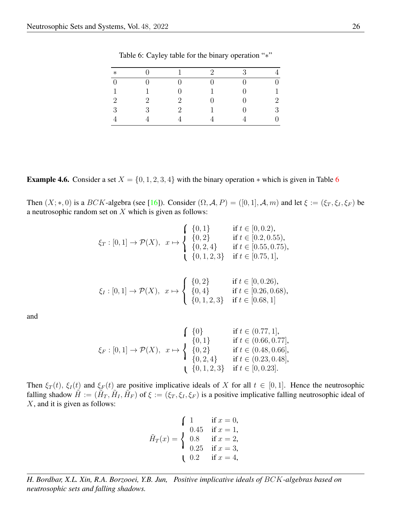| $\ast$         |   |                | $\mathcal{D}_{\mathcal{L}}$ | 3 | $\overline{4}$   |
|----------------|---|----------------|-----------------------------|---|------------------|
| $\overline{0}$ |   |                | 0                           |   | $\boldsymbol{0}$ |
| $\mathbf{1}$   |   |                |                             |   | $\mathbf 1$      |
| $\overline{2}$ | 2 | $\overline{2}$ | U                           |   | $\overline{2}$   |
| 3              | 3 | $\overline{2}$ |                             | 0 | 3                |
|                |   |                |                             |   | $\overline{0}$   |

<span id="page-17-0"></span>Table 6: Cayley table for the binary operation "∗"

**Example 4.[6](#page-17-0).** Consider a set  $X = \{0, 1, 2, 3, 4\}$  with the binary operation  $*$  which is given in Table 6

Then  $(X;*,0)$  is a  $BCK$ -algebra (see [\[16\]](#page-20-17)). Consider  $(\Omega, \mathcal{A}, P) = ([0,1], \mathcal{A}, m)$  and let  $\xi := (\xi_T, \xi_I, \xi_F)$  be a neutrosophic random set on  $X$  which is given as follows:

$$
\xi_T : [0,1] \to \mathcal{P}(X), \quad x \mapsto \begin{cases} \{0,1\} & \text{if } t \in [0,0.2), \\ \{0,2\} & \text{if } t \in [0.2,0.55), \\ \{0,2,4\} & \text{if } t \in [0.55,0.75), \\ \{0,1,2,3\} & \text{if } t \in [0.75,1], \end{cases}
$$

$$
\xi_I : [0,1] \to \mathcal{P}(X), \quad x \mapsto \begin{cases} \{0,2\} & \text{if } t \in [0,0.26), \\ \{0,4\} & \text{if } t \in [0.26,0.68), \\ \{0,1,2,3\} & \text{if } t \in [0.68,1] \end{cases}
$$

and

$$
\xi_F : [0,1] \to \mathcal{P}(X), \ x \mapsto \begin{cases}\n\{0\} & \text{if } t \in (0.77,1], \\
\{0,1\} & \text{if } t \in (0.66,0.77], \\
\{0,2\} & \text{if } t \in (0.48,0.66], \\
\{0,2,4\} & \text{if } t \in (0.23,0.48], \\
\{0,1,2,3\} & \text{if } t \in [0,0.23].\n\end{cases}
$$

falling shadow  $\tilde{H} := (\tilde{H}_T, \tilde{H}_I, \tilde{H}_F)$  of  $\xi := (\xi_T, \xi_I, \xi_F)$  is a positive implicative falling neutrosophic ideal of Then  $\xi_T(t)$ ,  $\xi_I(t)$  and  $\xi_F(t)$  are positive implicative ideals of X for all  $t \in [0,1]$ . Hence the neutrosophic X, and it is given as follows:

$$
\tilde{H}_T(x) = \begin{cases}\n1 & \text{if } x = 0, \\
0.45 & \text{if } x = 1, \\
0.8 & \text{if } x = 2, \\
0.25 & \text{if } x = 3, \\
0.2 & \text{if } x = 4,\n\end{cases}
$$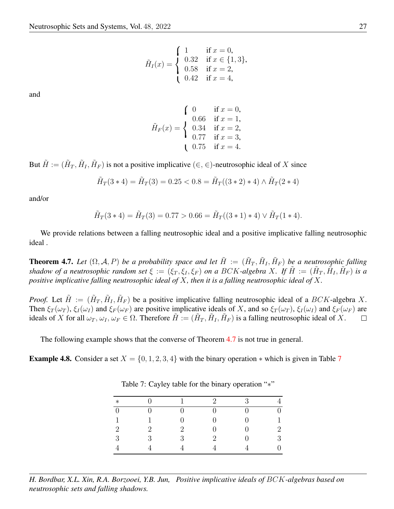$$
\tilde{H}_I(x) = \begin{cases}\n1 & \text{if } x = 0, \\
0.32 & \text{if } x \in \{1, 3\}, \\
0.58 & \text{if } x = 2, \\
0.42 & \text{if } x = 4,\n\end{cases}
$$

and

$$
\tilde{H}_F(x) = \begin{cases}\n0 & \text{if } x = 0, \\
0.66 & \text{if } x = 1, \\
0.34 & \text{if } x = 2, \\
0.77 & \text{if } x = 3, \\
0.75 & \text{if } x = 4.\n\end{cases}
$$

But  $\tilde{H} := (\tilde{H}_T, \tilde{H}_I, \tilde{H}_F)$  is not a positive implicative  $(\in, \in)$ -neutrosophic ideal of X since

$$
\tilde{H}_T(3*4) = \tilde{H}_T(3) = 0.25 < 0.8 = \tilde{H}_T((3*2)*4) \land \tilde{H}_T(2*4)
$$

and/or

$$
\tilde{H}_T(3*4) = \tilde{H}_T(3) = 0.77 > 0.66 = \tilde{H}_T((3*1)*4) \vee \tilde{H}_T(1*4).
$$

We provide relations between a falling neutrosophic ideal and a positive implicative falling neutrosophic ideal .

<span id="page-18-0"></span>**Theorem 4.7.** Let  $(\Omega, \mathcal{A}, P)$  be a probability space and let  $\tilde{H} := (\tilde{H}_T, \tilde{H}_I, \tilde{H}_F)$  be a neutrosophic falling shadow of a neutrosophic random set  $\xi := (\xi_T, \xi_I, \xi_F)$  on a BCK-algebra X. If  $\tilde{H} := (\tilde{H}_T, \tilde{H}_I, \tilde{H}_F)$  is a *positive implicative falling neutrosophic ideal of* X*, then it is a falling neutrosophic ideal of* X*.*

*Proof.* Let  $\tilde{H} := (\tilde{H}_T, \tilde{H}_I, \tilde{H}_F)$  be a positive implicative falling neutrosophic ideal of a BCK-algebra X. Then  $\xi_T(\omega_T)$ ,  $\xi_I(\omega_I)$  and  $\xi_F(\omega_F)$  are positive implicative ideals of X, and so  $\xi_T(\omega_T)$ ,  $\xi_I(\omega_I)$  and  $\xi_F(\omega_F)$  are ideals of X for all  $\omega_T$ ,  $\omega_I$ ,  $\omega_F \in \Omega$ . Therefore  $\tilde{H} := (\tilde{H}_T, \tilde{H}_I, \tilde{H}_F)$  is a falling neutrosophic ideal of X.  $\Box$ 

The following example shows that the converse of Theorem [4.7](#page-18-0) is not true in general.

**Example 4.8.** Consider a set  $X = \{0, 1, 2, 3, 4\}$  with the binary operation  $*$  which is given in Table [7](#page-18-1)

| $\ast$         |                             |   | റ        | $\mathbf{Q}$ |   |
|----------------|-----------------------------|---|----------|--------------|---|
| $\theta$       |                             |   |          |              |   |
| 1              |                             |   |          |              |   |
| $\overline{2}$ | $\mathcal{D}_{\mathcal{A}}$ | 2 |          |              | 2 |
| 3              | R                           | २ | $\Omega$ |              | ર |
|                |                             |   |          |              |   |

<span id="page-18-1"></span>Table 7: Cayley table for the binary operation "\*"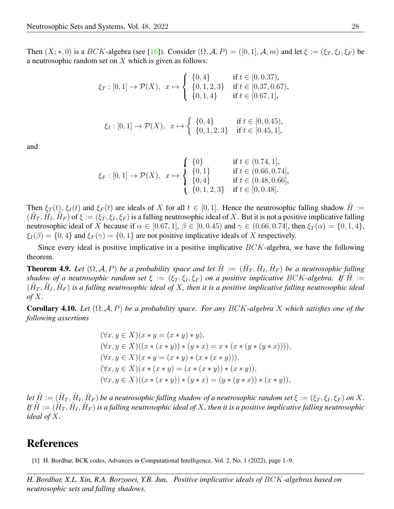Then  $(X;*,0)$  is a  $BCK$ -algebra (see [\[16\]](#page-20-17)). Consider  $(\Omega, \mathcal{A}, P) = ([0,1], \mathcal{A}, m)$  and let  $\xi := (\xi_T, \xi_I, \xi_F)$  be a neutrosophic random set on X which is given as follows:

$$
\xi_T : [0,1] \to \mathcal{P}(X), \quad x \mapsto \begin{cases} \{0,4\} & \text{if } t \in [0,0.37), \\ \{0,1,2,3\} & \text{if } t \in [0.37,0.67), \\ \{0,1,4\} & \text{if } t \in [0.67,1], \end{cases}
$$
\n
$$
\xi_I : [0,1] \to \mathcal{P}(X), \quad x \mapsto \begin{cases} \{0,4\} & \text{if } t \in [0,0.45), \\ \{0,1,2,3\} & \text{if } t \in [0,0.45), \end{cases}
$$

and

$$
\xi_F : [0,1] \to \mathcal{P}(X), \quad x \mapsto \begin{cases} \{0\} & \text{if } t \in (0.74, 1], \\ \{0,1\} & \text{if } t \in (0.66, 0.74], \\ \{0,4\} & \text{if } t \in (0.48, 0.66], \\ \{0,1,2,3\} & \text{if } t \in [0, 0.48]. \end{cases}
$$

 $(\tilde{H}_T, \tilde{H}_I, \tilde{H}_F)$  of  $\xi := (\xi_T, \xi_I, \xi_F)$  is a falling neutrosophic ideal of X. But it is not a positive implicative falling Then  $\xi_T(t)$ ,  $\xi_I(t)$  and  $\xi_F(t)$  are ideals of X for all  $t \in [0,1]$ . Hence the neutrosophic falling shadow  $\tilde{H}$  := neutrosophic ideal of X because if  $\alpha \in [0.67, 1], \beta \in [0, 0.45)$  and  $\gamma \in (0.66, 0.74]$ , then  $\xi_T(\alpha) = \{0, 1, 4\}$ ,  $\xi_I(\beta) = \{0, 4\}$  and  $\xi_F(\gamma) = \{0, 1\}$  are not positive implicative ideals of X respectively.

Since every ideal is positive implicative in a positive implicative  $BCK$ -algebra, we have the following theorem.

**Theorem 4.9.** Let  $(\Omega, \mathcal{A}, P)$  be a probability space and let  $\tilde{H} := (\tilde{H}_T, \tilde{H}_I, \tilde{H}_F)$  be a neutrosophic falling  $(\tilde{H}_T, \tilde{H}_I, \tilde{H}_F)$  is a falling neutrosophic ideal of X, then it is a positive implicative falling neutrosophic ideal *shadow of a neutrosophic random set*  $\xi := (\xi_T, \xi_I, \xi_F)$  *on a positive implicative BCK*-*algebra. If*  $\tilde{H} :=$ *of* X*.*

Corollary 4.10. *Let* (Ω, A, P) *be a probability space. For any* BCK*-algebra* X *which satisfies one of the following assertions*

$$
(\forall x, y \in X)(x * y = (x * y) * y),\n(\forall x, y \in X)((x * (x * y)) * (y * x) = x * (x * (y * (y * x))))),\n(\forall x, y \in X)(x * y = (x * y) * (x * (x * y))),\n(\forall x, y \in X)(x * (x * y) = (x * (x * y)) * (x * y)),\n(\forall x, y \in X)((x * (x * y)) * (y * x) = (y * (y * x)) * (x * y)),
$$

Let  $\tilde{H} := (\tilde{H}_T, \tilde{H}_I, \tilde{H}_F)$  be a neutrosophic falling shadow of a neutrosophic random set  $\xi := (\xi_T, \xi_I, \xi_F)$  on  $X$ . If  $\tilde H:=(\tilde H_T,\tilde H_I,\tilde H_F)$  is a falling neutrosophic ideal of X, then it is a positive implicative falling neutrosophic *ideal of* X*.*

## References

[1] H. Bordbar, BCK codes, Advances in Computational Intelligence, Vol. 2, No. 1 (2022), page 1–9.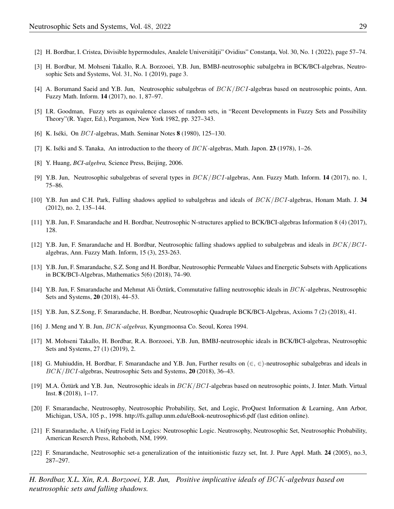- [2] H. Bordbar, I. Cristea, Divisible hypermodules, Analele Universității" Ovidius" Constanța, Vol. 30, No. 1 (2022), page 57–74.
- <span id="page-20-4"></span>[3] H. Bordbar, M. Mohseni Takallo, R.A. Borzooei, Y.B. Jun, BMBJ-neutrosophic subalgebra in BCK/BCI-algebras, Neutrosophic Sets and Systems, Vol. 31, No. 1 (2019), page 3.
- <span id="page-20-5"></span>[4] A. Borumand Saeid and Y.B. Jun, Neutrosophic subalgebras of BCK/BCI-algebras based on neutrosophic points, Ann. Fuzzy Math. Inform. 14 (2017), no. 1, 87–97.
- <span id="page-20-0"></span>[5] I.R. Goodman, Fuzzy sets as equivalence classes of random sets, in "Recent Developments in Fuzzy Sets and Possibility Theory"(R. Yager, Ed.), Pergamon, New York 1982, pp. 327–343.
- <span id="page-20-15"></span>[6] K. Iséki, On  $BCI$ -algebras, Math. Seminar Notes 8 (1980), 125–130.
- <span id="page-20-16"></span>[7] K. Iséki and S. Tanaka, An introduction to the theory of  $BCK$ -algebras, Math. Japon. 23 (1978), 1–26.
- <span id="page-20-18"></span>[8] Y. Huang, *BCI-algebra,* Science Press, Beijing, 2006.
- <span id="page-20-6"></span>[9] Y.B. Jun, Neutrosophic subalgebras of several types in  $BCK/BCI$ -algebras, Ann. Fuzzy Math. Inform. **14** (2017), no. 1, 75–86.
- <span id="page-20-19"></span>[10] Y.B. Jun and C.H. Park, Falling shadows applied to subalgebras and ideals of BCK/BCI-algebras, Honam Math. J. 34 (2012), no. 2, 135–144.
- <span id="page-20-7"></span>[11] Y.B. Jun, F. Smarandache and H. Bordbar, Neutrosophic N-structures applied to BCK/BCI-algebras Information 8 (4) (2017), 128.
- <span id="page-20-11"></span>[12] Y.B. Jun, F. Smarandache and H. Bordbar, Neutrosophic falling shadows applied to subalgebras and ideals in  $BCK/BCI$ algebras, Ann. Fuzzy Math. Inform, 15 (3), 253-263.
- <span id="page-20-12"></span>[13] Y.B. Jun, F. Smarandache, S.Z. Song and H. Bordbar, Neutrosophic Permeable Values and Energetic Subsets with Applications in BCK/BCI-Algebras, Mathematics 5(6) (2018), 74–90.
- <span id="page-20-13"></span>[14] Y.B. Jun, F. Smarandache and Mehmat Ali Öztürk, Commutative falling neutrosophic ideals in BCK-algebras, Neutrosophic Sets and Systems, 20 (2018), 44–53.
- <span id="page-20-8"></span>[15] Y.B. Jun, S.Z.Song, F. Smarandache, H. Bordbar, Neutrosophic Quadruple BCK/BCI-Algebras, Axioms 7 (2) (2018), 41.
- <span id="page-20-17"></span>[16] J. Meng and Y. B. Jun, BCK*-algebras,* Kyungmoonsa Co. Seoul, Korea 1994.
- <span id="page-20-9"></span>[17] M. Mohseni Takallo, H. Bordbar, R.A. Borzooei, Y.B. Jun, BMBJ-neutrosophic ideals in BCK/BCI-algebras, Neutrosophic Sets and Systems, 27 (1) (2019), 2.
- <span id="page-20-14"></span>[18] G. Muhiuddin, H. Bordbar, F. Smarandache and Y.B. Jun, Further results on  $(\in, \in)$ -neutrosophic subalgebras and ideals in BCK/BCI-algebras, Neutrosophic Sets and Systems, 20 (2018), 36–43.
- <span id="page-20-10"></span>[19] M.A. Öztürk and Y.B. Jun, Neutrosophic ideals in  $BCK/BCI$ -algebras based on neutrosophic points, J. Inter. Math. Virtual Inst. 8 (2018), 1–17.
- <span id="page-20-1"></span>[20] F. Smarandache, Neutrosophy, Neutrosophic Probability, Set, and Logic, ProQuest Information & Learning, Ann Arbor, Michigan, USA, 105 p., 1998. http://fs.gallup.unm.edu/eBook-neutrosophics6.pdf (last edition online).
- <span id="page-20-2"></span>[21] F. Smarandache, A Unifying Field in Logics: Neutrosophic Logic. Neutrosophy, Neutrosophic Set, Neutrosophic Probability, American Reserch Press, Rehoboth, NM, 1999.
- <span id="page-20-3"></span>[22] F. Smarandache, Neutrosophic set-a generalization of the intuitionistic fuzzy set, Int. J. Pure Appl. Math. 24 (2005), no.3, 287–297.